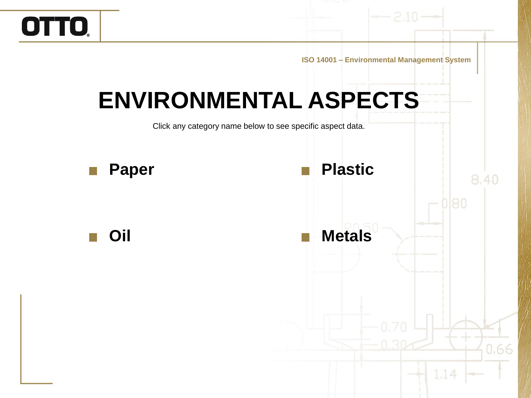**ISO 14001 – Environmental Management System**

### **ENVIRONMENTAL ASPECTS**

OTTO.

Click any category name below to see specific aspect data.

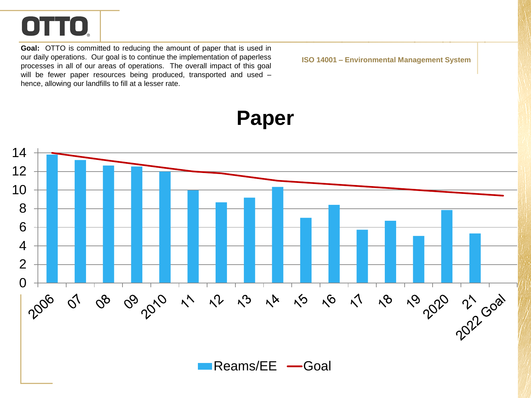<span id="page-1-0"></span>**Goal:** OTTO is committed to reducing the amount of paper that is used in our daily operations. Our goal is to continue the implementation of paperless processes in all of our areas of operations. The overall impact of this goal will be fewer paper resources being produced, transported and used hence, allowing our landfills to fill at a lesser rate.

**ISO 14001 – Environmental Management System**

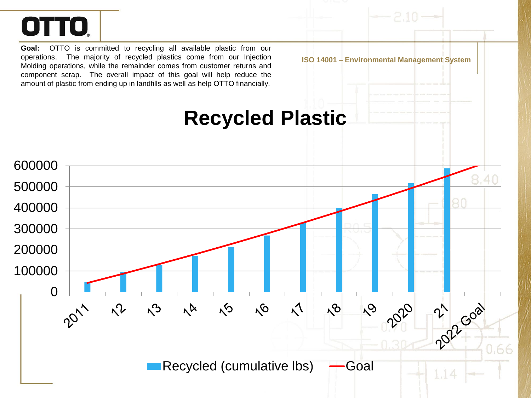<span id="page-2-0"></span>**Goal:** OTTO is committed to recycling all available plastic from our operations. The majority of recycled plastics come from our Injection Molding operations, while the remainder comes from customer returns and component scrap. The overall impact of this goal will help reduce the amount of plastic from ending up in landfills as well as help OTTO financially.

**ISO 14001 – Environmental Management System**

#### **Recycled Plastic**

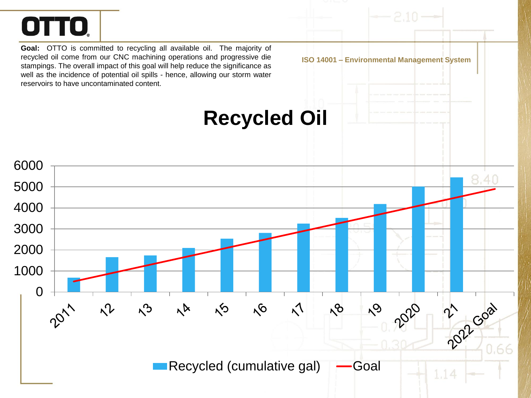<span id="page-3-0"></span>**Goal:** OTTO is committed to recycling all available oil. The majority of recycled oil come from our CNC machining operations and progressive die stampings. The overall impact of this goal will help reduce the significance as well as the incidence of potential oil spills - hence, allowing our storm water reservoirs to have uncontaminated content.

**Recycled Oil**

**ISO 14001 – Environmental Management System**